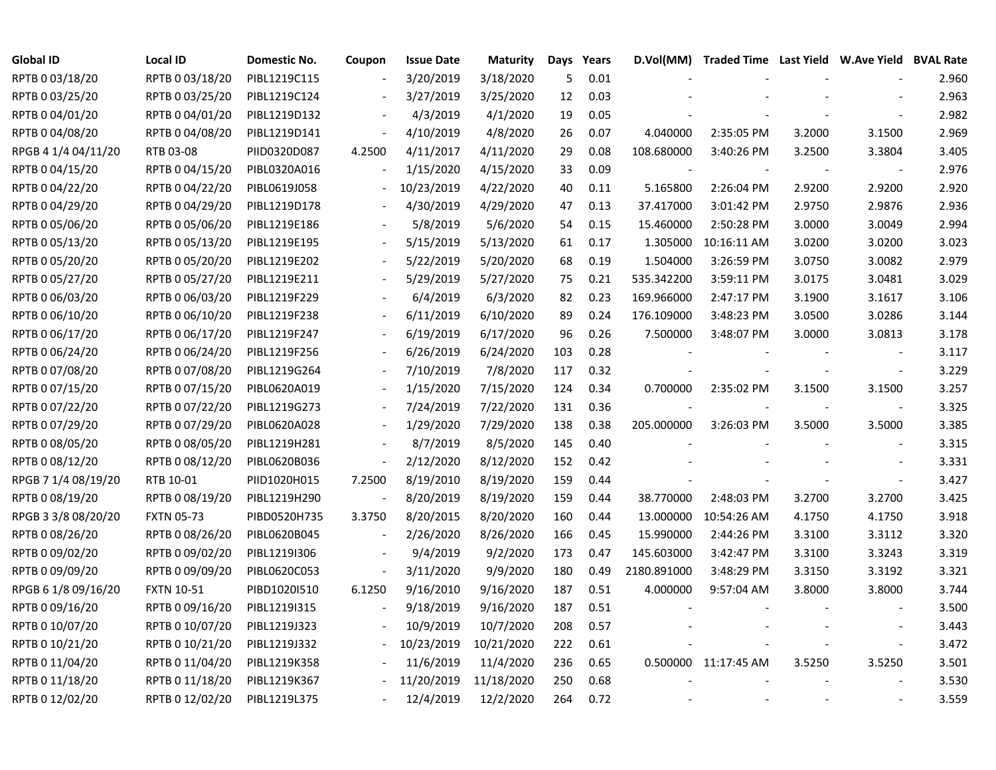| <b>Global ID</b>    | <b>Local ID</b>   | Domestic No. | Coupon                   | <b>Issue Date</b> | <b>Maturity</b> | Days | Years | D.Vol(MM)   | Traded Time Last Yield W.Ave Yield BVAL Rate |        |                          |       |
|---------------------|-------------------|--------------|--------------------------|-------------------|-----------------|------|-------|-------------|----------------------------------------------|--------|--------------------------|-------|
| RPTB 0 03/18/20     | RPTB 0 03/18/20   | PIBL1219C115 |                          | 3/20/2019         | 3/18/2020       | 5    | 0.01  |             |                                              |        |                          | 2.960 |
| RPTB 0 03/25/20     | RPTB 0 03/25/20   | PIBL1219C124 |                          | 3/27/2019         | 3/25/2020       | 12   | 0.03  |             |                                              |        |                          | 2.963 |
| RPTB 0 04/01/20     | RPTB 0 04/01/20   | PIBL1219D132 |                          | 4/3/2019          | 4/1/2020        | 19   | 0.05  |             |                                              |        |                          | 2.982 |
| RPTB 0 04/08/20     | RPTB 0 04/08/20   | PIBL1219D141 | $\overline{\phantom{a}}$ | 4/10/2019         | 4/8/2020        | 26   | 0.07  | 4.040000    | 2:35:05 PM                                   | 3.2000 | 3.1500                   | 2.969 |
| RPGB 4 1/4 04/11/20 | RTB 03-08         | PIID0320D087 | 4.2500                   | 4/11/2017         | 4/11/2020       | 29   | 0.08  | 108.680000  | 3:40:26 PM                                   | 3.2500 | 3.3804                   | 3.405 |
| RPTB 0 04/15/20     | RPTB 0 04/15/20   | PIBL0320A016 | $\frac{1}{2}$            | 1/15/2020         | 4/15/2020       | 33   | 0.09  |             |                                              |        | $\blacksquare$           | 2.976 |
| RPTB 0 04/22/20     | RPTB 0 04/22/20   | PIBL0619J058 | $\overline{\phantom{a}}$ | 10/23/2019        | 4/22/2020       | 40   | 0.11  | 5.165800    | 2:26:04 PM                                   | 2.9200 | 2.9200                   | 2.920 |
| RPTB 0 04/29/20     | RPTB 0 04/29/20   | PIBL1219D178 |                          | 4/30/2019         | 4/29/2020       | 47   | 0.13  | 37.417000   | 3:01:42 PM                                   | 2.9750 | 2.9876                   | 2.936 |
| RPTB 0 05/06/20     | RPTB 0 05/06/20   | PIBL1219E186 |                          | 5/8/2019          | 5/6/2020        | 54   | 0.15  | 15.460000   | 2:50:28 PM                                   | 3.0000 | 3.0049                   | 2.994 |
| RPTB 0 05/13/20     | RPTB 0 05/13/20   | PIBL1219E195 |                          | 5/15/2019         | 5/13/2020       | 61   | 0.17  | 1.305000    | 10:16:11 AM                                  | 3.0200 | 3.0200                   | 3.023 |
| RPTB 0 05/20/20     | RPTB 0 05/20/20   | PIBL1219E202 |                          | 5/22/2019         | 5/20/2020       | 68   | 0.19  | 1.504000    | 3:26:59 PM                                   | 3.0750 | 3.0082                   | 2.979 |
| RPTB 0 05/27/20     | RPTB 0 05/27/20   | PIBL1219E211 |                          | 5/29/2019         | 5/27/2020       | 75   | 0.21  | 535.342200  | 3:59:11 PM                                   | 3.0175 | 3.0481                   | 3.029 |
| RPTB 0 06/03/20     | RPTB 0 06/03/20   | PIBL1219F229 |                          | 6/4/2019          | 6/3/2020        | 82   | 0.23  | 169.966000  | 2:47:17 PM                                   | 3.1900 | 3.1617                   | 3.106 |
| RPTB 0 06/10/20     | RPTB 0 06/10/20   | PIBL1219F238 |                          | 6/11/2019         | 6/10/2020       | 89   | 0.24  | 176.109000  | 3:48:23 PM                                   | 3.0500 | 3.0286                   | 3.144 |
| RPTB 0 06/17/20     | RPTB 0 06/17/20   | PIBL1219F247 |                          | 6/19/2019         | 6/17/2020       | 96   | 0.26  | 7.500000    | 3:48:07 PM                                   | 3.0000 | 3.0813                   | 3.178 |
| RPTB 0 06/24/20     | RPTB 0 06/24/20   | PIBL1219F256 |                          | 6/26/2019         | 6/24/2020       | 103  | 0.28  |             |                                              |        |                          | 3.117 |
| RPTB 0 07/08/20     | RPTB 0 07/08/20   | PIBL1219G264 |                          | 7/10/2019         | 7/8/2020        | 117  | 0.32  |             |                                              |        | $\overline{\phantom{a}}$ | 3.229 |
| RPTB 0 07/15/20     | RPTB 0 07/15/20   | PIBL0620A019 | $\overline{\phantom{a}}$ | 1/15/2020         | 7/15/2020       | 124  | 0.34  | 0.700000    | 2:35:02 PM                                   | 3.1500 | 3.1500                   | 3.257 |
| RPTB 0 07/22/20     | RPTB 0 07/22/20   | PIBL1219G273 | $\blacksquare$           | 7/24/2019         | 7/22/2020       | 131  | 0.36  |             |                                              |        | $\overline{\phantom{a}}$ | 3.325 |
| RPTB 0 07/29/20     | RPTB 0 07/29/20   | PIBL0620A028 |                          | 1/29/2020         | 7/29/2020       | 138  | 0.38  | 205.000000  | 3:26:03 PM                                   | 3.5000 | 3.5000                   | 3.385 |
| RPTB 0 08/05/20     | RPTB 0 08/05/20   | PIBL1219H281 |                          | 8/7/2019          | 8/5/2020        | 145  | 0.40  |             |                                              |        |                          | 3.315 |
| RPTB 0 08/12/20     | RPTB 0 08/12/20   | PIBL0620B036 | $\overline{\phantom{a}}$ | 2/12/2020         | 8/12/2020       | 152  | 0.42  |             |                                              |        |                          | 3.331 |
| RPGB 7 1/4 08/19/20 | RTB 10-01         | PIID1020H015 | 7.2500                   | 8/19/2010         | 8/19/2020       | 159  | 0.44  |             |                                              |        | $\overline{\phantom{a}}$ | 3.427 |
| RPTB 0 08/19/20     | RPTB 0 08/19/20   | PIBL1219H290 | $\blacksquare$           | 8/20/2019         | 8/19/2020       | 159  | 0.44  | 38.770000   | 2:48:03 PM                                   | 3.2700 | 3.2700                   | 3.425 |
| RPGB 3 3/8 08/20/20 | <b>FXTN 05-73</b> | PIBD0520H735 | 3.3750                   | 8/20/2015         | 8/20/2020       | 160  | 0.44  | 13.000000   | 10:54:26 AM                                  | 4.1750 | 4.1750                   | 3.918 |
| RPTB 0 08/26/20     | RPTB 0 08/26/20   | PIBL0620B045 | $\overline{\phantom{a}}$ | 2/26/2020         | 8/26/2020       | 166  | 0.45  | 15.990000   | 2:44:26 PM                                   | 3.3100 | 3.3112                   | 3.320 |
| RPTB 0 09/02/20     | RPTB 0 09/02/20   | PIBL1219I306 |                          | 9/4/2019          | 9/2/2020        | 173  | 0.47  | 145.603000  | 3:42:47 PM                                   | 3.3100 | 3.3243                   | 3.319 |
| RPTB 0 09/09/20     | RPTB 0 09/09/20   | PIBL0620C053 |                          | 3/11/2020         | 9/9/2020        | 180  | 0.49  | 2180.891000 | 3:48:29 PM                                   | 3.3150 | 3.3192                   | 3.321 |
| RPGB 6 1/8 09/16/20 | <b>FXTN 10-51</b> | PIBD1020I510 | 6.1250                   | 9/16/2010         | 9/16/2020       | 187  | 0.51  | 4.000000    | 9:57:04 AM                                   | 3.8000 | 3.8000                   | 3.744 |
| RPTB 0 09/16/20     | RPTB 0 09/16/20   | PIBL1219I315 |                          | 9/18/2019         | 9/16/2020       | 187  | 0.51  |             |                                              |        |                          | 3.500 |
| RPTB 0 10/07/20     | RPTB 0 10/07/20   | PIBL1219J323 |                          | 10/9/2019         | 10/7/2020       | 208  | 0.57  |             |                                              |        |                          | 3.443 |
| RPTB 0 10/21/20     | RPTB 0 10/21/20   | PIBL1219J332 | $\overline{\phantom{a}}$ | 10/23/2019        | 10/21/2020      | 222  | 0.61  |             |                                              |        | $\overline{\phantom{a}}$ | 3.472 |
| RPTB 0 11/04/20     | RPTB 0 11/04/20   | PIBL1219K358 |                          | 11/6/2019         | 11/4/2020       | 236  | 0.65  |             | 0.500000 11:17:45 AM                         | 3.5250 | 3.5250                   | 3.501 |
| RPTB 0 11/18/20     | RPTB 0 11/18/20   | PIBL1219K367 |                          | 11/20/2019        | 11/18/2020      | 250  | 0.68  |             |                                              |        |                          | 3.530 |
| RPTB 0 12/02/20     | RPTB 0 12/02/20   | PIBL1219L375 |                          | 12/4/2019         | 12/2/2020       | 264  | 0.72  |             |                                              |        |                          | 3.559 |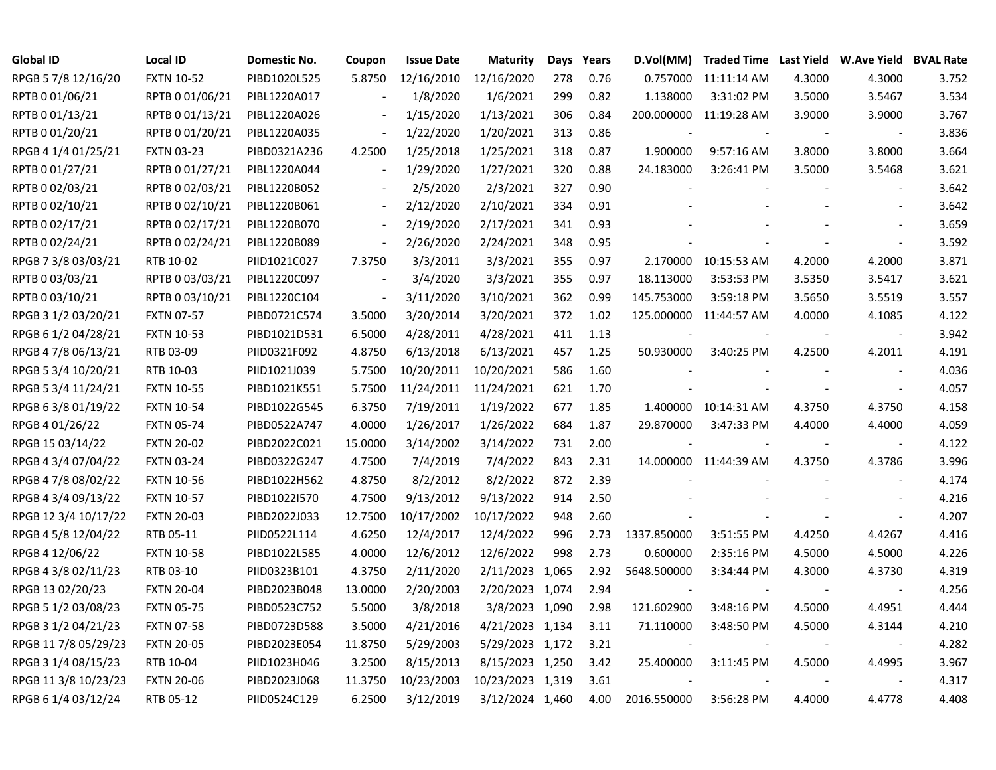| <b>Global ID</b>     | <b>Local ID</b>   | Domestic No. | Coupon                   | <b>Issue Date</b> | <b>Maturity</b>  | Days | Years | D.Vol(MM)   |                        |        | Traded Time Last Yield W.Ave Yield BVAL Rate |       |
|----------------------|-------------------|--------------|--------------------------|-------------------|------------------|------|-------|-------------|------------------------|--------|----------------------------------------------|-------|
| RPGB 5 7/8 12/16/20  | <b>FXTN 10-52</b> | PIBD1020L525 | 5.8750                   | 12/16/2010        | 12/16/2020       | 278  | 0.76  | 0.757000    | 11:11:14 AM            | 4.3000 | 4.3000                                       | 3.752 |
| RPTB 0 01/06/21      | RPTB 0 01/06/21   | PIBL1220A017 |                          | 1/8/2020          | 1/6/2021         | 299  | 0.82  | 1.138000    | 3:31:02 PM             | 3.5000 | 3.5467                                       | 3.534 |
| RPTB 0 01/13/21      | RPTB 0 01/13/21   | PIBL1220A026 |                          | 1/15/2020         | 1/13/2021        | 306  | 0.84  |             | 200.000000 11:19:28 AM | 3.9000 | 3.9000                                       | 3.767 |
| RPTB 0 01/20/21      | RPTB 0 01/20/21   | PIBL1220A035 | $\blacksquare$           | 1/22/2020         | 1/20/2021        | 313  | 0.86  |             |                        |        | $\overline{\phantom{a}}$                     | 3.836 |
| RPGB 4 1/4 01/25/21  | <b>FXTN 03-23</b> | PIBD0321A236 | 4.2500                   | 1/25/2018         | 1/25/2021        | 318  | 0.87  | 1.900000    | 9:57:16 AM             | 3.8000 | 3.8000                                       | 3.664 |
| RPTB 0 01/27/21      | RPTB 0 01/27/21   | PIBL1220A044 | $\overline{\phantom{a}}$ | 1/29/2020         | 1/27/2021        | 320  | 0.88  | 24.183000   | 3:26:41 PM             | 3.5000 | 3.5468                                       | 3.621 |
| RPTB 0 02/03/21      | RPTB 0 02/03/21   | PIBL1220B052 |                          | 2/5/2020          | 2/3/2021         | 327  | 0.90  |             |                        |        |                                              | 3.642 |
| RPTB 0 02/10/21      | RPTB 0 02/10/21   | PIBL1220B061 | $\blacksquare$           | 2/12/2020         | 2/10/2021        | 334  | 0.91  |             |                        |        |                                              | 3.642 |
| RPTB 002/17/21       | RPTB 0 02/17/21   | PIBL1220B070 |                          | 2/19/2020         | 2/17/2021        | 341  | 0.93  |             |                        |        |                                              | 3.659 |
| RPTB 0 02/24/21      | RPTB 0 02/24/21   | PIBL1220B089 | $\overline{\phantom{a}}$ | 2/26/2020         | 2/24/2021        | 348  | 0.95  |             |                        |        | $\overline{\phantom{a}}$                     | 3.592 |
| RPGB 7 3/8 03/03/21  | RTB 10-02         | PIID1021C027 | 7.3750                   | 3/3/2011          | 3/3/2021         | 355  | 0.97  |             | 2.170000 10:15:53 AM   | 4.2000 | 4.2000                                       | 3.871 |
| RPTB 0 03/03/21      | RPTB 0 03/03/21   | PIBL1220C097 | $\sim$                   | 3/4/2020          | 3/3/2021         | 355  | 0.97  | 18.113000   | 3:53:53 PM             | 3.5350 | 3.5417                                       | 3.621 |
| RPTB 0 03/10/21      | RPTB 0 03/10/21   | PIBL1220C104 | $\overline{\phantom{a}}$ | 3/11/2020         | 3/10/2021        | 362  | 0.99  | 145.753000  | 3:59:18 PM             | 3.5650 | 3.5519                                       | 3.557 |
| RPGB 3 1/2 03/20/21  | <b>FXTN 07-57</b> | PIBD0721C574 | 3.5000                   | 3/20/2014         | 3/20/2021        | 372  | 1.02  |             | 125.000000 11:44:57 AM | 4.0000 | 4.1085                                       | 4.122 |
| RPGB 6 1/2 04/28/21  | <b>FXTN 10-53</b> | PIBD1021D531 | 6.5000                   | 4/28/2011         | 4/28/2021        | 411  | 1.13  |             |                        |        |                                              | 3.942 |
| RPGB 4 7/8 06/13/21  | RTB 03-09         | PIID0321F092 | 4.8750                   | 6/13/2018         | 6/13/2021        | 457  | 1.25  | 50.930000   | 3:40:25 PM             | 4.2500 | 4.2011                                       | 4.191 |
| RPGB 5 3/4 10/20/21  | RTB 10-03         | PIID1021J039 | 5.7500                   | 10/20/2011        | 10/20/2021       | 586  | 1.60  |             |                        |        | $\overline{\phantom{a}}$                     | 4.036 |
| RPGB 5 3/4 11/24/21  | <b>FXTN 10-55</b> | PIBD1021K551 | 5.7500                   | 11/24/2011        | 11/24/2021       | 621  | 1.70  |             |                        |        | $\overline{\phantom{a}}$                     | 4.057 |
| RPGB 6 3/8 01/19/22  | <b>FXTN 10-54</b> | PIBD1022G545 | 6.3750                   | 7/19/2011         | 1/19/2022        | 677  | 1.85  |             | 1.400000 10:14:31 AM   | 4.3750 | 4.3750                                       | 4.158 |
| RPGB 4 01/26/22      | <b>FXTN 05-74</b> | PIBD0522A747 | 4.0000                   | 1/26/2017         | 1/26/2022        | 684  | 1.87  | 29.870000   | 3:47:33 PM             | 4.4000 | 4.4000                                       | 4.059 |
| RPGB 15 03/14/22     | <b>FXTN 20-02</b> | PIBD2022C021 | 15.0000                  | 3/14/2002         | 3/14/2022        | 731  | 2.00  |             |                        |        | $\blacksquare$                               | 4.122 |
| RPGB 4 3/4 07/04/22  | <b>FXTN 03-24</b> | PIBD0322G247 | 4.7500                   | 7/4/2019          | 7/4/2022         | 843  | 2.31  |             | 14.000000 11:44:39 AM  | 4.3750 | 4.3786                                       | 3.996 |
| RPGB 4 7/8 08/02/22  | <b>FXTN 10-56</b> | PIBD1022H562 | 4.8750                   | 8/2/2012          | 8/2/2022         | 872  | 2.39  |             |                        |        | $\overline{\phantom{a}}$                     | 4.174 |
| RPGB 4 3/4 09/13/22  | <b>FXTN 10-57</b> | PIBD1022I570 | 4.7500                   | 9/13/2012         | 9/13/2022        | 914  | 2.50  |             |                        |        |                                              | 4.216 |
| RPGB 12 3/4 10/17/22 | <b>FXTN 20-03</b> | PIBD2022J033 | 12.7500                  | 10/17/2002        | 10/17/2022       | 948  | 2.60  |             |                        |        | $\blacksquare$                               | 4.207 |
| RPGB 4 5/8 12/04/22  | RTB 05-11         | PIID0522L114 | 4.6250                   | 12/4/2017         | 12/4/2022        | 996  | 2.73  | 1337.850000 | 3:51:55 PM             | 4.4250 | 4.4267                                       | 4.416 |
| RPGB 4 12/06/22      | <b>FXTN 10-58</b> | PIBD1022L585 | 4.0000                   | 12/6/2012         | 12/6/2022        | 998  | 2.73  | 0.600000    | 2:35:16 PM             | 4.5000 | 4.5000                                       | 4.226 |
| RPGB 4 3/8 02/11/23  | RTB 03-10         | PIID0323B101 | 4.3750                   | 2/11/2020         | 2/11/2023 1,065  |      | 2.92  | 5648.500000 | 3:34:44 PM             | 4.3000 | 4.3730                                       | 4.319 |
| RPGB 13 02/20/23     | <b>FXTN 20-04</b> | PIBD2023B048 | 13.0000                  | 2/20/2003         | 2/20/2023 1,074  |      | 2.94  |             |                        |        |                                              | 4.256 |
| RPGB 5 1/2 03/08/23  | <b>FXTN 05-75</b> | PIBD0523C752 | 5.5000                   | 3/8/2018          | 3/8/2023 1,090   |      | 2.98  | 121.602900  | 3:48:16 PM             | 4.5000 | 4.4951                                       | 4.444 |
| RPGB 3 1/2 04/21/23  | <b>FXTN 07-58</b> | PIBD0723D588 | 3.5000                   | 4/21/2016         | 4/21/2023 1,134  |      | 3.11  | 71.110000   | 3:48:50 PM             | 4.5000 | 4.3144                                       | 4.210 |
| RPGB 11 7/8 05/29/23 | <b>FXTN 20-05</b> | PIBD2023E054 | 11.8750                  | 5/29/2003         | 5/29/2023 1,172  |      | 3.21  |             |                        |        | $\blacksquare$                               | 4.282 |
| RPGB 3 1/4 08/15/23  | RTB 10-04         | PIID1023H046 | 3.2500                   | 8/15/2013         | 8/15/2023 1,250  |      | 3.42  | 25.400000   | 3:11:45 PM             | 4.5000 | 4.4995                                       | 3.967 |
| RPGB 11 3/8 10/23/23 | <b>FXTN 20-06</b> | PIBD2023J068 | 11.3750                  | 10/23/2003        | 10/23/2023 1,319 |      | 3.61  |             |                        |        |                                              | 4.317 |
| RPGB 6 1/4 03/12/24  | RTB 05-12         | PIID0524C129 | 6.2500                   | 3/12/2019         | 3/12/2024 1,460  |      | 4.00  | 2016.550000 | 3:56:28 PM             | 4.4000 | 4.4778                                       | 4.408 |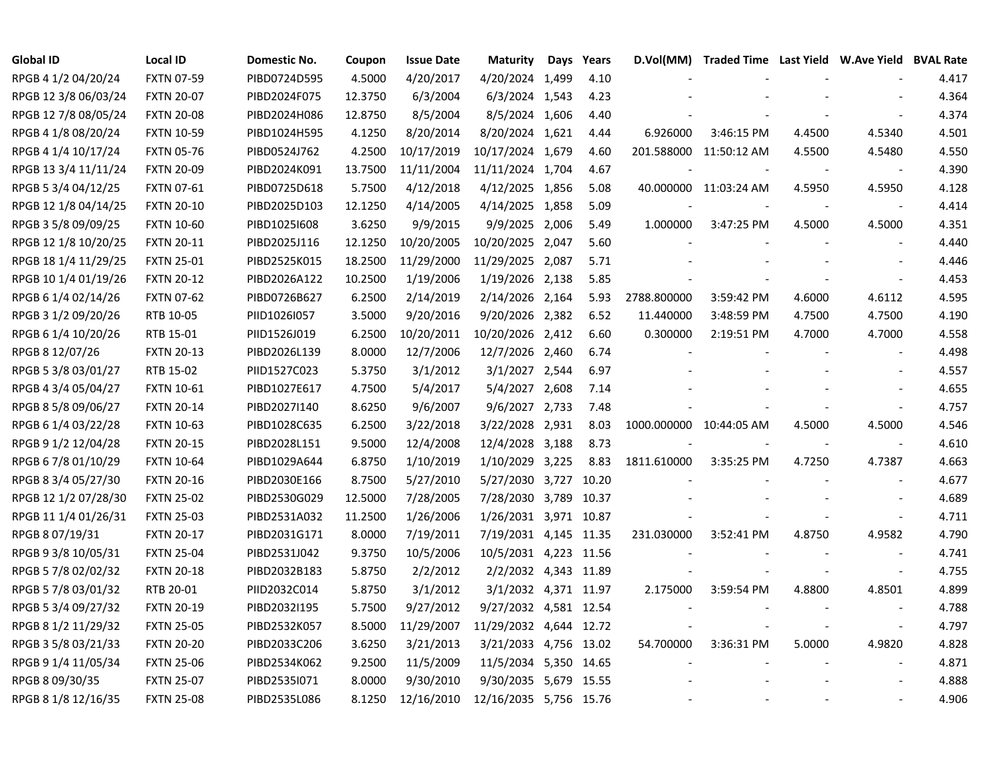| <b>Global ID</b>     | <b>Local ID</b>   | Domestic No. | Coupon  | <b>Issue Date</b> | <b>Maturity</b>        | Days | Years |                         | D.Vol(MM) Traded Time Last Yield W.Ave Yield BVAL Rate |        |                          |       |
|----------------------|-------------------|--------------|---------|-------------------|------------------------|------|-------|-------------------------|--------------------------------------------------------|--------|--------------------------|-------|
| RPGB 4 1/2 04/20/24  | <b>FXTN 07-59</b> | PIBD0724D595 | 4.5000  | 4/20/2017         | 4/20/2024 1,499        |      | 4.10  |                         |                                                        |        |                          | 4.417 |
| RPGB 12 3/8 06/03/24 | <b>FXTN 20-07</b> | PIBD2024F075 | 12.3750 | 6/3/2004          | 6/3/2024 1,543         |      | 4.23  |                         |                                                        |        |                          | 4.364 |
| RPGB 12 7/8 08/05/24 | <b>FXTN 20-08</b> | PIBD2024H086 | 12.8750 | 8/5/2004          | 8/5/2024 1,606         |      | 4.40  |                         |                                                        |        |                          | 4.374 |
| RPGB 4 1/8 08/20/24  | <b>FXTN 10-59</b> | PIBD1024H595 | 4.1250  | 8/20/2014         | 8/20/2024 1,621        |      | 4.44  | 6.926000                | 3:46:15 PM                                             | 4.4500 | 4.5340                   | 4.501 |
| RPGB 4 1/4 10/17/24  | <b>FXTN 05-76</b> | PIBD0524J762 | 4.2500  | 10/17/2019        | 10/17/2024 1,679       |      | 4.60  |                         | 201.588000 11:50:12 AM                                 | 4.5500 | 4.5480                   | 4.550 |
| RPGB 13 3/4 11/11/24 | <b>FXTN 20-09</b> | PIBD2024K091 | 13.7500 | 11/11/2004        | 11/11/2024 1,704       |      | 4.67  |                         |                                                        |        |                          | 4.390 |
| RPGB 5 3/4 04/12/25  | FXTN 07-61        | PIBD0725D618 | 5.7500  | 4/12/2018         | 4/12/2025 1,856        |      | 5.08  |                         | 40.000000 11:03:24 AM                                  | 4.5950 | 4.5950                   | 4.128 |
| RPGB 12 1/8 04/14/25 | <b>FXTN 20-10</b> | PIBD2025D103 | 12.1250 | 4/14/2005         | 4/14/2025 1,858        |      | 5.09  |                         |                                                        |        | $\sim$                   | 4.414 |
| RPGB 3 5/8 09/09/25  | <b>FXTN 10-60</b> | PIBD1025I608 | 3.6250  | 9/9/2015          | 9/9/2025 2,006         |      | 5.49  | 1.000000                | 3:47:25 PM                                             | 4.5000 | 4.5000                   | 4.351 |
| RPGB 12 1/8 10/20/25 | <b>FXTN 20-11</b> | PIBD2025J116 | 12.1250 | 10/20/2005        | 10/20/2025 2,047       |      | 5.60  |                         |                                                        |        | $\overline{a}$           | 4.440 |
| RPGB 18 1/4 11/29/25 | <b>FXTN 25-01</b> | PIBD2525K015 | 18.2500 | 11/29/2000        | 11/29/2025 2,087       |      | 5.71  |                         |                                                        |        |                          | 4.446 |
| RPGB 10 1/4 01/19/26 | <b>FXTN 20-12</b> | PIBD2026A122 | 10.2500 | 1/19/2006         | 1/19/2026 2,138        |      | 5.85  |                         |                                                        |        |                          | 4.453 |
| RPGB 6 1/4 02/14/26  | <b>FXTN 07-62</b> | PIBD0726B627 | 6.2500  | 2/14/2019         | 2/14/2026 2,164        |      | 5.93  | 2788.800000             | 3:59:42 PM                                             | 4.6000 | 4.6112                   | 4.595 |
| RPGB 3 1/2 09/20/26  | RTB 10-05         | PIID1026I057 | 3.5000  | 9/20/2016         | 9/20/2026 2,382        |      | 6.52  | 11.440000               | 3:48:59 PM                                             | 4.7500 | 4.7500                   | 4.190 |
| RPGB 6 1/4 10/20/26  | RTB 15-01         | PIID1526J019 | 6.2500  | 10/20/2011        | 10/20/2026 2,412       |      | 6.60  | 0.300000                | 2:19:51 PM                                             | 4.7000 | 4.7000                   | 4.558 |
| RPGB 8 12/07/26      | <b>FXTN 20-13</b> | PIBD2026L139 | 8.0000  | 12/7/2006         | 12/7/2026 2,460        |      | 6.74  |                         |                                                        |        |                          | 4.498 |
| RPGB 5 3/8 03/01/27  | RTB 15-02         | PIID1527C023 | 5.3750  | 3/1/2012          | 3/1/2027 2,544         |      | 6.97  |                         |                                                        |        |                          | 4.557 |
| RPGB 4 3/4 05/04/27  | <b>FXTN 10-61</b> | PIBD1027E617 | 4.7500  | 5/4/2017          | 5/4/2027 2,608         |      | 7.14  |                         |                                                        |        |                          | 4.655 |
| RPGB 8 5/8 09/06/27  | <b>FXTN 20-14</b> | PIBD2027I140 | 8.6250  | 9/6/2007          | 9/6/2027 2,733         |      | 7.48  |                         |                                                        |        |                          | 4.757 |
| RPGB 6 1/4 03/22/28  | <b>FXTN 10-63</b> | PIBD1028C635 | 6.2500  | 3/22/2018         | 3/22/2028 2,931        |      | 8.03  | 1000.000000 10:44:05 AM |                                                        | 4.5000 | 4.5000                   | 4.546 |
| RPGB 9 1/2 12/04/28  | <b>FXTN 20-15</b> | PIBD2028L151 | 9.5000  | 12/4/2008         | 12/4/2028 3,188        |      | 8.73  |                         |                                                        |        | $\blacksquare$           | 4.610 |
| RPGB 6 7/8 01/10/29  | <b>FXTN 10-64</b> | PIBD1029A644 | 6.8750  | 1/10/2019         | 1/10/2029 3,225        |      | 8.83  | 1811.610000             | 3:35:25 PM                                             | 4.7250 | 4.7387                   | 4.663 |
| RPGB 8 3/4 05/27/30  | <b>FXTN 20-16</b> | PIBD2030E166 | 8.7500  | 5/27/2010         | 5/27/2030 3,727 10.20  |      |       |                         |                                                        |        | $\blacksquare$           | 4.677 |
| RPGB 12 1/2 07/28/30 | <b>FXTN 25-02</b> | PIBD2530G029 | 12.5000 | 7/28/2005         | 7/28/2030 3,789 10.37  |      |       |                         |                                                        |        | $\sim$                   | 4.689 |
| RPGB 11 1/4 01/26/31 | <b>FXTN 25-03</b> | PIBD2531A032 | 11.2500 | 1/26/2006         | 1/26/2031 3,971 10.87  |      |       |                         |                                                        |        | $\blacksquare$           | 4.711 |
| RPGB 8 07/19/31      | <b>FXTN 20-17</b> | PIBD2031G171 | 8.0000  | 7/19/2011         | 7/19/2031 4,145 11.35  |      |       | 231.030000              | 3:52:41 PM                                             | 4.8750 | 4.9582                   | 4.790 |
| RPGB 9 3/8 10/05/31  | <b>FXTN 25-04</b> | PIBD2531J042 | 9.3750  | 10/5/2006         | 10/5/2031 4,223 11.56  |      |       |                         |                                                        |        |                          | 4.741 |
| RPGB 5 7/8 02/02/32  | <b>FXTN 20-18</b> | PIBD2032B183 | 5.8750  | 2/2/2012          | 2/2/2032 4,343 11.89   |      |       |                         |                                                        |        |                          | 4.755 |
| RPGB 5 7/8 03/01/32  | RTB 20-01         | PIID2032C014 | 5.8750  | 3/1/2012          | 3/1/2032 4,371 11.97   |      |       | 2.175000                | 3:59:54 PM                                             | 4.8800 | 4.8501                   | 4.899 |
| RPGB 5 3/4 09/27/32  | <b>FXTN 20-19</b> | PIBD2032I195 | 5.7500  | 9/27/2012         | 9/27/2032 4,581 12.54  |      |       |                         |                                                        |        | $\sim$                   | 4.788 |
| RPGB 8 1/2 11/29/32  | <b>FXTN 25-05</b> | PIBD2532K057 | 8.5000  | 11/29/2007        | 11/29/2032 4,644 12.72 |      |       |                         |                                                        |        | $\overline{\phantom{a}}$ | 4.797 |
| RPGB 3 5/8 03/21/33  | <b>FXTN 20-20</b> | PIBD2033C206 | 3.6250  | 3/21/2013         | 3/21/2033 4,756 13.02  |      |       | 54.700000               | 3:36:31 PM                                             | 5.0000 | 4.9820                   | 4.828 |
| RPGB 9 1/4 11/05/34  | <b>FXTN 25-06</b> | PIBD2534K062 | 9.2500  | 11/5/2009         | 11/5/2034 5,350 14.65  |      |       |                         |                                                        |        |                          | 4.871 |
| RPGB 8 09/30/35      | <b>FXTN 25-07</b> | PIBD2535I071 | 8.0000  | 9/30/2010         | 9/30/2035 5,679 15.55  |      |       |                         |                                                        |        |                          | 4.888 |
| RPGB 8 1/8 12/16/35  | <b>FXTN 25-08</b> | PIBD2535L086 | 8.1250  | 12/16/2010        | 12/16/2035 5,756 15.76 |      |       |                         |                                                        |        |                          | 4.906 |